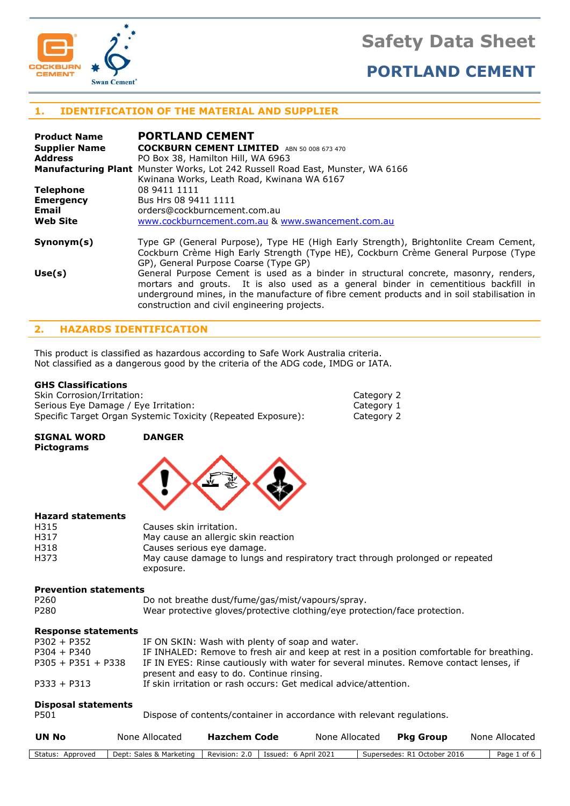



# **1. IDENTIFICATION OF THE MATERIAL AND SUPPLIER**

| <b>Product Name</b>  | <b>PORTLAND CEMENT</b>                                                                                                                                                                                                                                                                                                     |
|----------------------|----------------------------------------------------------------------------------------------------------------------------------------------------------------------------------------------------------------------------------------------------------------------------------------------------------------------------|
| <b>Supplier Name</b> | <b>COCKBURN CEMENT LIMITED</b> ABN 50 008 673 470                                                                                                                                                                                                                                                                          |
| <b>Address</b>       | PO Box 38, Hamilton Hill, WA 6963                                                                                                                                                                                                                                                                                          |
|                      | <b>Manufacturing Plant</b> Munster Works, Lot 242 Russell Road East, Munster, WA 6166                                                                                                                                                                                                                                      |
|                      | Kwinana Works, Leath Road, Kwinana WA 6167                                                                                                                                                                                                                                                                                 |
| <b>Telephone</b>     | 08 9411 1111                                                                                                                                                                                                                                                                                                               |
| <b>Emergency</b>     | Bus Hrs 08 9411 1111                                                                                                                                                                                                                                                                                                       |
| Email                | orders@cockburncement.com.au                                                                                                                                                                                                                                                                                               |
| <b>Web Site</b>      | www.cockburncement.com.au & www.swancement.com.au                                                                                                                                                                                                                                                                          |
| Symonym(s)           | Type GP (General Purpose), Type HE (High Early Strength), Brightonlite Cream Cement,<br>Cockburn Crème High Early Strength (Type HE), Cockburn Crème General Purpose (Type<br>GP), General Purpose Coarse (Type GP)                                                                                                        |
| Use(s)               | General Purpose Cement is used as a binder in structural concrete, masonry, renders,<br>mortars and grouts. It is also used as a general binder in cementitious backfill in<br>underground mines, in the manufacture of fibre cement products and in soil stabilisation in<br>construction and civil engineering projects. |

# **2. HAZARDS IDENTIFICATION**

This product is classified as hazardous according to Safe Work Australia criteria. Not classified as a dangerous good by the criteria of the ADG code, IMDG or IATA.

#### **GHS Classifications**

Skin Corrosion/Irritation: Category 2 Serious Eye Damage / Eye Irritation: Category 1 Specific Target Organ Systemic Toxicity (Repeated Exposure): Category 2

**SIGNAL WORD DANGER Pictograms**



# **Hazard statements**

| H315 | Causes skin irritation.                                                       |
|------|-------------------------------------------------------------------------------|
| H317 | May cause an allergic skin reaction                                           |
| H318 | Causes serious eye damage.                                                    |
| H373 | May cause damage to lungs and respiratory tract through prolonged or repeated |
|      | exposure.                                                                     |

# **Prevention statements**

| P <sub>260</sub> | Do not breathe dust/fume/gas/mist/vapours/spray.                           |
|------------------|----------------------------------------------------------------------------|
| P <sub>280</sub> | Wear protective gloves/protective clothing/eye protection/face protection. |

# **Response statements**

| $P302 + P352$        | IF ON SKIN: Wash with plenty of soap and water.                                           |
|----------------------|-------------------------------------------------------------------------------------------|
| $P304 + P340$        | IF INHALED: Remove to fresh air and keep at rest in a position comfortable for breathing. |
| $P305 + P351 + P338$ | IF IN EYES: Rinse cautiously with water for several minutes. Remove contact lenses, if    |
|                      | present and easy to do. Continue rinsing.                                                 |
| $P333 + P313$        | If skin irritation or rash occurs: Get medical advice/attention.                          |

#### **Disposal statements**

P501 Dispose of contents/container in accordance with relevant regulations.

| <b>UN No</b>     | None Allocated          | Hazchem Code                         | None Allocated | Pka Group                   | None Allocated |
|------------------|-------------------------|--------------------------------------|----------------|-----------------------------|----------------|
| Status: Approved | Dept: Sales & Marketing | Revision: 2.0   Issued: 6 April 2021 |                | Supersedes: R1 October 2016 | Page 1 of 6    |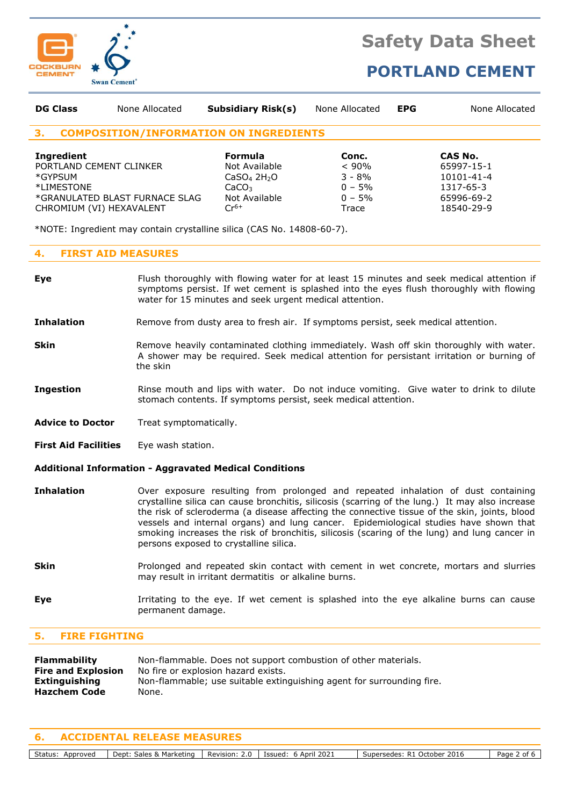

# **PORTLAND CEMENT**

| <b>DG Class</b>                                                                                   | None Allocated                                | <b>Subsidiary Risk(s)</b>                                                                                                 | None Allocated                                                   | <b>EPG</b> | None Allocated                                                                     |
|---------------------------------------------------------------------------------------------------|-----------------------------------------------|---------------------------------------------------------------------------------------------------------------------------|------------------------------------------------------------------|------------|------------------------------------------------------------------------------------|
| 3.                                                                                                | <b>COMPOSITION/INFORMATION ON INGREDIENTS</b> |                                                                                                                           |                                                                  |            |                                                                                    |
| <b>Ingredient</b><br>PORTLAND CEMENT CLINKER<br>*GYPSUM<br>*LIMESTONE<br>CHROMIUM (VI) HEXAVALENT | *GRANULATED BLAST FURNACE SLAG                | <b>Formula</b><br>Not Available<br>CaSO <sub>4</sub> 2H <sub>2</sub> O<br>CaCO <sub>3</sub><br>Not Available<br>$Cr^{6+}$ | Conc.<br>$< 90\%$<br>$3 - 8\%$<br>$0 - 5%$<br>$0 - 5\%$<br>Trace |            | CAS No.<br>65997-15-1<br>$10101 - 41 - 4$<br>1317-65-3<br>65996-69-2<br>18540-29-9 |
|                                                                                                   |                                               | *NOTE: Ingredient may contain crystalline silica (CAS No. 14808-60-7).                                                    |                                                                  |            |                                                                                    |

### **4. FIRST AID MEASURES**

- **Eye** Flush thoroughly with flowing water for at least 15 minutes and seek medical attention if symptoms persist. If wet cement is splashed into the eyes flush thoroughly with flowing water for 15 minutes and seek urgent medical attention.
- **Inhalation** Remove from dusty area to fresh air. If symptoms persist, seek medical attention.
- **Skin** Remove heavily contaminated clothing immediately. Wash off skin thoroughly with water. A shower may be required. Seek medical attention for persistant irritation or burning of the skin
- **Ingestion** Rinse mouth and lips with water. Do not induce vomiting. Give water to drink to dilute stomach contents. If symptoms persist, seek medical attention.
- Advice to Doctor Treat symptomatically.
- **First Aid Facilities** Eye wash station.

#### **Additional Information - Aggravated Medical Conditions**

- **Inhalation** Over exposure resulting from prolonged and repeated inhalation of dust containing crystalline silica can cause bronchitis, silicosis (scarring of the lung.) It may also increase the risk of scleroderma (a disease affecting the connective tissue of the skin, joints, blood vessels and internal organs) and lung cancer. Epidemiological studies have shown that smoking increases the risk of bronchitis, silicosis (scaring of the lung) and lung cancer in persons exposed to crystalline silica.
- **Skin** Prolonged and repeated skin contact with cement in wet concrete, mortars and slurries may result in irritant dermatitis or alkaline burns.
- **Eye I**rritating to the eye. If wet cement is splashed into the eye alkaline burns can cause permanent damage.

#### **5. FIRE FIGHTING**

| <b>Flammability</b>       | Non-flammable. Does not support combustion of other materials.        |
|---------------------------|-----------------------------------------------------------------------|
| <b>Fire and Explosion</b> | No fire or explosion hazard exists.                                   |
| Extinguishing             | Non-flammable; use suitable extinguishing agent for surrounding fire. |
| <b>Hazchem Code</b>       | None.                                                                 |

#### **6. ACCIDENTAL RELEASE MEASURES**

Status: Approved | Dept: Sales & Marketing | Revision: 2.0 | Issued: 6 April 2021 | Supersedes: R1 October 2016 | Page 2 of 6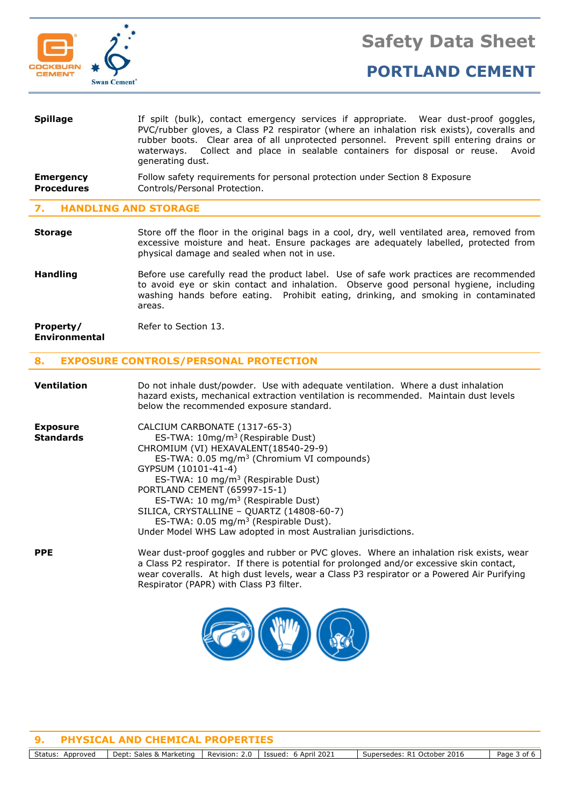

| <b>Spillage</b>                       | If spilt (bulk), contact emergency services if appropriate. Wear dust-proof goggles,<br>PVC/rubber gloves, a Class P2 respirator (where an inhalation risk exists), coveralls and<br>rubber boots. Clear area of all unprotected personnel. Prevent spill entering drains or<br>waterways. Collect and place in sealable containers for disposal or reuse. Avoid<br>generating dust. |
|---------------------------------------|--------------------------------------------------------------------------------------------------------------------------------------------------------------------------------------------------------------------------------------------------------------------------------------------------------------------------------------------------------------------------------------|
| <b>Emergency</b><br><b>Procedures</b> | Follow safety requirements for personal protection under Section 8 Exposure<br>Controls/Personal Protection.                                                                                                                                                                                                                                                                         |
| UANDI THA AND CEADAAF                 |                                                                                                                                                                                                                                                                                                                                                                                      |

#### **7. HANDLING AND STORAGE**

- **Storage** Store off the floor in the original bags in a cool, dry, well ventilated area, removed from excessive moisture and heat. Ensure packages are adequately labelled, protected from physical damage and sealed when not in use.
- **Handling** Before use carefully read the product label. Use of safe work practices are recommended to avoid eye or skin contact and inhalation. Observe good personal hygiene, including washing hands before eating. Prohibit eating, drinking, and smoking in contaminated areas.

| Property/            | Refer to Section 13. |
|----------------------|----------------------|
| <b>Environmental</b> |                      |

### **8. EXPOSURE CONTROLS/PERSONAL PROTECTION**

| <b>Ventilation</b>                  | Do not inhale dust/powder. Use with adequate ventilation. Where a dust inhalation<br>hazard exists, mechanical extraction ventilation is recommended. Maintain dust levels<br>below the recommended exposure standard.                                                                                                                                                                                                                                                                                         |
|-------------------------------------|----------------------------------------------------------------------------------------------------------------------------------------------------------------------------------------------------------------------------------------------------------------------------------------------------------------------------------------------------------------------------------------------------------------------------------------------------------------------------------------------------------------|
| <b>Exposure</b><br><b>Standards</b> | CALCIUM CARBONATE (1317-65-3)<br>ES-TWA: $10\,\text{mg/m}^3$ (Respirable Dust)<br>CHROMIUM (VI) HEXAVALENT (18540-29-9)<br>ES-TWA: 0.05 mg/m <sup>3</sup> (Chromium VI compounds)<br>GYPSUM (10101-41-4)<br>ES-TWA: 10 mg/m <sup>3</sup> (Respirable Dust)<br>PORTLAND CEMENT (65997-15-1)<br>ES-TWA: 10 mg/m <sup>3</sup> (Respirable Dust)<br>SILICA, CRYSTALLINE - QUARTZ (14808-60-7)<br>ES-TWA: $0.05 \text{ mg/m}^3$ (Respirable Dust).<br>Under Model WHS Law adopted in most Australian jurisdictions. |
| <b>PPE</b>                          | Wear dust-proof goggles and rubber or PVC gloves. Where an inhalation risk exists, wear<br>a Class P2 respirator. If there is potential for prolonged and/or excessive skin contact,<br>wear coveralls. At high dust levels, wear a Class P3 respirator or a Powered Air Purifying<br>Respirator (PAPR) with Class P3 filter.                                                                                                                                                                                  |



**9. PHYSICAL AND CHEMICAL PROPERTIES**

Status: Approved | Dept: Sales & Marketing | Revision: 2.0 | Issued: 6 April 2021 | Supersedes: R1 October 2016 | Page 3 of 6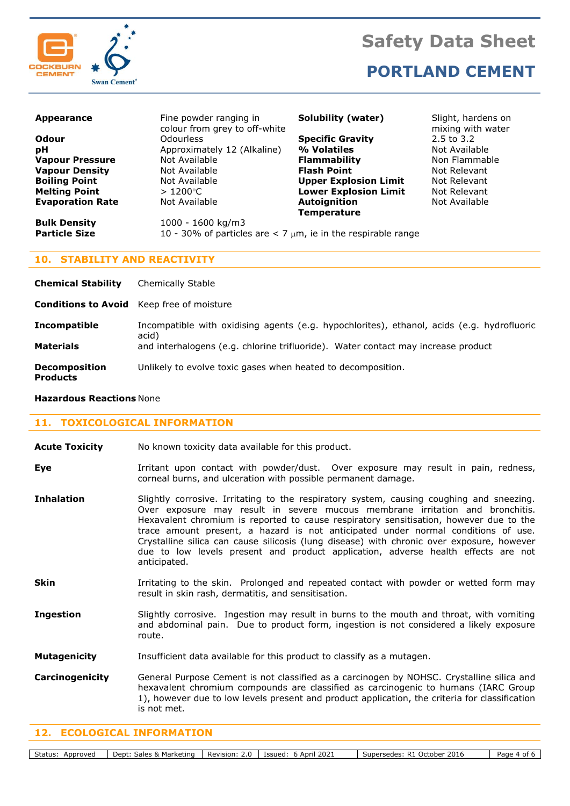



**PORTLAND CEMENT** 

| <b>Appearance</b>       | Fine powder ranging in<br>colour from grey to off-white             | <b>Solubility (water)</b>    | Slight, hardens on<br>mixing with water |
|-------------------------|---------------------------------------------------------------------|------------------------------|-----------------------------------------|
| Odour                   | <b>Odourless</b>                                                    | <b>Specific Gravity</b>      | 2.5 to 3.2                              |
| pH                      | Approximately 12 (Alkaline)                                         | % Volatiles                  | Not Available                           |
| <b>Vapour Pressure</b>  | Not Available                                                       | <b>Flammability</b>          | Non Flammable                           |
| <b>Vapour Density</b>   | Not Available                                                       | <b>Flash Point</b>           | Not Relevant                            |
| <b>Boiling Point</b>    | Not Available                                                       | <b>Upper Explosion Limit</b> | Not Relevant                            |
| <b>Melting Point</b>    | $>1200^{\circ}$ C                                                   | <b>Lower Explosion Limit</b> | Not Relevant                            |
| <b>Evaporation Rate</b> | Not Available                                                       | Autoignition                 | Not Available                           |
|                         |                                                                     | <b>Temperature</b>           |                                         |
| <b>Bulk Density</b>     | 1000 - 1600 kg/m3                                                   |                              |                                         |
| <b>Particle Size</b>    | 10 - 30% of particles are $<$ 7 $\mu$ m, ie in the respirable range |                              |                                         |
|                         |                                                                     |                              |                                         |

## **10. STABILITY AND REACTIVITY**

| <b>Chemical Stability</b>                        | Chemically Stable                                                                                                                                                                        |
|--------------------------------------------------|------------------------------------------------------------------------------------------------------------------------------------------------------------------------------------------|
| <b>Conditions to Avoid</b> Keep free of moisture |                                                                                                                                                                                          |
| <b>Incompatible</b><br><b>Materials</b>          | Incompatible with oxidising agents (e.g. hypochlorites), ethanol, acids (e.g. hydrofluoric<br>acid)<br>and interhalogens (e.g. chlorine trifluoride). Water contact may increase product |
| <b>Decomposition</b><br><b>Products</b>          | Unlikely to evolve toxic gases when heated to decomposition.                                                                                                                             |

#### **Hazardous Reactions** None

#### **11. TOXICOLOGICAL INFORMATION**

- **Eye I**rritant upon contact with powder/dust. Over exposure may result in pain, redness, corneal burns, and ulceration with possible permanent damage.
- **Inhalation** Slightly corrosive. Irritating to the respiratory system, causing coughing and sneezing. Over exposure may result in severe mucous membrane irritation and bronchitis. Hexavalent chromium is reported to cause respiratory sensitisation, however due to the trace amount present, a hazard is not anticipated under normal conditions of use. Crystalline silica can cause silicosis (lung disease) with chronic over exposure, however due to low levels present and product application, adverse health effects are not anticipated.
- **Skin** Irritating to the skin. Prolonged and repeated contact with powder or wetted form may result in skin rash, dermatitis, and sensitisation.
- **Ingestion** Slightly corrosive. Ingestion may result in burns to the mouth and throat, with vomiting and abdominal pain. Due to product form, ingestion is not considered a likely exposure route.
- **Mutagenicity** Insufficient data available for this product to classify as a mutagen.
- **Carcinogenicity** General Purpose Cement is not classified as a carcinogen by NOHSC. Crystalline silica and hexavalent chromium compounds are classified as carcinogenic to humans (IARC Group 1), however due to low levels present and product application, the criteria for classification is not met.

#### **12. ECOLOGICAL INFORMATION**

Status: Approved | Dept: Sales & Marketing | Revision: 2.0 | Issued: 6 April 2021 | Supersedes: R1 October 2016 | Page 4 of 6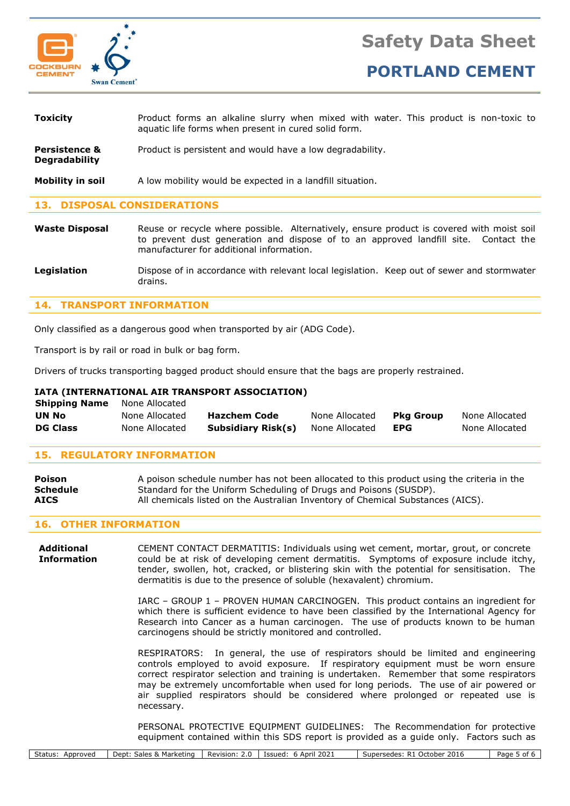

**PORTLAND CEMENT** 

| <b>Toxicity</b>                                  | Product forms an alkaline slurry when mixed with water. This product is non-toxic to<br>aquatic life forms when present in cured solid form. |
|--------------------------------------------------|----------------------------------------------------------------------------------------------------------------------------------------------|
| <b>Persistence &amp;</b><br><b>Degradability</b> | Product is persistent and would have a low degradability.                                                                                    |
| Mobility in soil                                 | A low mobility would be expected in a landfill situation.                                                                                    |

#### **13. DISPOSAL CONSIDERATIONS**

**Waste Disposal** Reuse or recycle where possible. Alternatively, ensure product is covered with moist soil to prevent dust generation and dispose of to an approved landfill site. Contact the manufacturer for additional information.

**Legislation** Dispose of in accordance with relevant local legislation. Keep out of sewer and stormwater drains.

#### **14. TRANSPORT INFORMATION**

Only classified as a dangerous good when transported by air (ADG Code).

Transport is by rail or road in bulk or bag form.

Drivers of trucks transporting bagged product should ensure that the bags are properly restrained.

#### **IATA (INTERNATIONAL AIR TRANSPORT ASSOCIATION)**

| <b>Shipping Name</b> | None Allocated |                     |                |                  |                |
|----------------------|----------------|---------------------|----------------|------------------|----------------|
| UN No                | None Allocated | <b>Hazchem Code</b> | None Allocated | <b>Pka Group</b> | None Allocated |
| <b>DG Class</b>      | None Allocated | Subsidiary Risk(s)  | None Allocated | <b>EPG</b>       | None Allocated |

#### **15. REGULATORY INFORMATION**

| Poison          | A poison schedule number has not been allocated to this product using the criteria in the |
|-----------------|-------------------------------------------------------------------------------------------|
| <b>Schedule</b> | Standard for the Uniform Scheduling of Drugs and Poisons (SUSDP).                         |
| <b>AICS</b>     | All chemicals listed on the Australian Inventory of Chemical Substances (AICS).           |

#### **16. OTHER INFORMATION**

**Additional** CEMENT CONTACT DERMATITIS: Individuals using wet cement, mortar, grout, or concrete **Information** could be at risk of developing cement dermatitis. Symptoms of exposure include itchy, tender, swollen, hot, cracked, or blistering skin with the potential for sensitisation. The dermatitis is due to the presence of soluble (hexavalent) chromium.

> IARC – GROUP 1 – PROVEN HUMAN CARCINOGEN. This product contains an ingredient for which there is sufficient evidence to have been classified by the International Agency for Research into Cancer as a human carcinogen. The use of products known to be human carcinogens should be strictly monitored and controlled.

> RESPIRATORS: In general, the use of respirators should be limited and engineering controls employed to avoid exposure. If respiratory equipment must be worn ensure correct respirator selection and training is undertaken. Remember that some respirators may be extremely uncomfortable when used for long periods. The use of air powered or air supplied respirators should be considered where prolonged or repeated use is necessary.

> PERSONAL PROTECTIVE EQUIPMENT GUIDELINES: The Recommendation for protective equipment contained within this SDS report is provided as a guide only. Factors such as